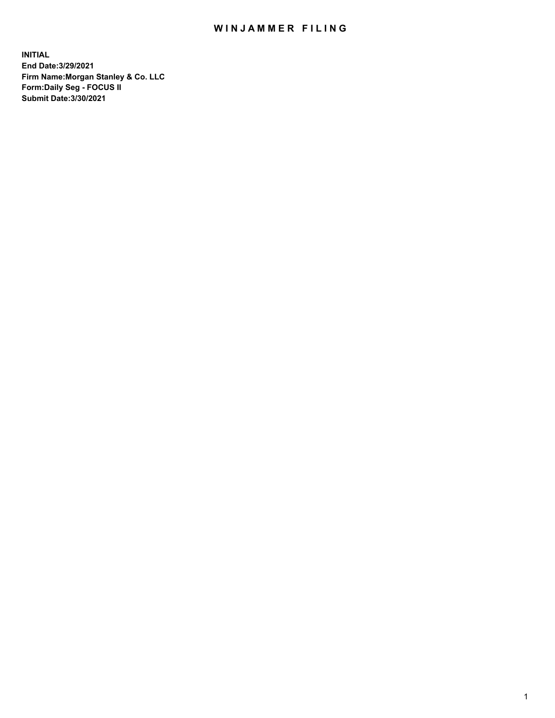## WIN JAMMER FILING

**INITIAL End Date:3/29/2021 Firm Name:Morgan Stanley & Co. LLC Form:Daily Seg - FOCUS II Submit Date:3/30/2021**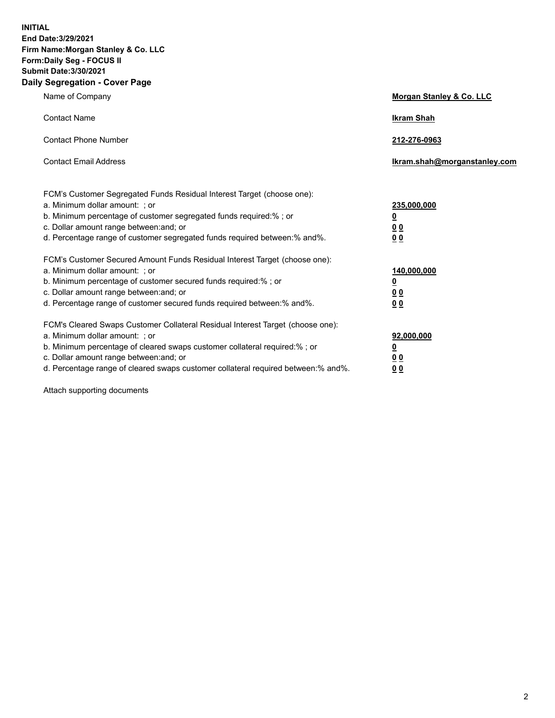**INITIAL End Date:3/29/2021 Firm Name:Morgan Stanley & Co. LLC Form:Daily Seg - FOCUS II Submit Date:3/30/2021 Daily Segregation - Cover Page**

| Name of Company                                                                                                                                                                                                                                                                                                                | <b>Morgan Stanley &amp; Co. LLC</b>                         |
|--------------------------------------------------------------------------------------------------------------------------------------------------------------------------------------------------------------------------------------------------------------------------------------------------------------------------------|-------------------------------------------------------------|
| <b>Contact Name</b>                                                                                                                                                                                                                                                                                                            | <b>Ikram Shah</b>                                           |
| <b>Contact Phone Number</b>                                                                                                                                                                                                                                                                                                    | 212-276-0963                                                |
| <b>Contact Email Address</b>                                                                                                                                                                                                                                                                                                   | Ikram.shah@morganstanley.com                                |
| FCM's Customer Segregated Funds Residual Interest Target (choose one):<br>a. Minimum dollar amount: ; or<br>b. Minimum percentage of customer segregated funds required:%; or<br>c. Dollar amount range between: and; or<br>d. Percentage range of customer segregated funds required between:% and%.                          | 235,000,000<br><u>0</u><br>0 <sub>0</sub><br>0 <sub>0</sub> |
| FCM's Customer Secured Amount Funds Residual Interest Target (choose one):<br>a. Minimum dollar amount: ; or<br>b. Minimum percentage of customer secured funds required:% ; or<br>c. Dollar amount range between: and; or<br>d. Percentage range of customer secured funds required between:% and%.                           | 140,000,000<br><u>0</u><br>0 <sub>0</sub><br>0 <sub>0</sub> |
| FCM's Cleared Swaps Customer Collateral Residual Interest Target (choose one):<br>a. Minimum dollar amount: ; or<br>b. Minimum percentage of cleared swaps customer collateral required:% ; or<br>c. Dollar amount range between: and; or<br>d. Percentage range of cleared swaps customer collateral required between:% and%. | 92,000,000<br><u>0</u><br><u>00</u><br>0 <sub>0</sub>       |

Attach supporting documents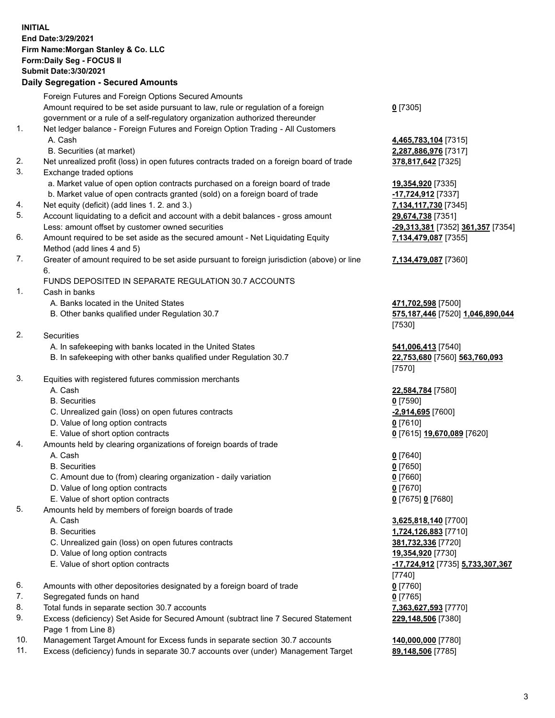## **INITIAL End Date:3/29/2021 Firm Name:Morgan Stanley & Co. LLC Form:Daily Seg - FOCUS II Submit Date:3/30/2021**

## **Daily Segregation - Secured Amounts**

Foreign Futures and Foreign Options Secured Amounts Amount required to be set aside pursuant to law, rule or regulation of a foreign government or a rule of a self-regulatory organization authorized thereunder 1. Net ledger balance - Foreign Futures and Foreign Option Trading - All Customers A. Cash **4,465,783,104** [7315] B. Securities (at market) **2,287,886,976** [7317] 2. Net unrealized profit (loss) in open futures contracts traded on a foreign board of trade **378,817,642** [7325] 3. Exchange traded options a. Market value of open option contracts purchased on a foreign board of trade **19,354,920** [7335] b. Market value of open contracts granted (sold) on a foreign board of trade **-17,724,912** [7337] 4. Net equity (deficit) (add lines 1. 2. and 3.) **7,134,117,730** [7345] 5. Account liquidating to a deficit and account with a debit balances - gross amount **29,674,738** [7351] Less: amount offset by customer owned securities **-29,313,381** [7352] **361,357** [7354] 6. Amount required to be set aside as the secured amount - Net Liquidating Equity Method (add lines 4 and 5) 7. Greater of amount required to be set aside pursuant to foreign jurisdiction (above) or line 6. FUNDS DEPOSITED IN SEPARATE REGULATION 30.7 ACCOUNTS 1. Cash in banks A. Banks located in the United States **471,702,598** [7500] B. Other banks qualified under Regulation 30.7 **575,187,446** [7520] **1,046,890,044** [7530] 2. Securities A. In safekeeping with banks located in the United States **541,006,413** [7540] B. In safekeeping with other banks qualified under Regulation 30.7 **22,753,680** [7560] **563,760,093** [7570] 3. Equities with registered futures commission merchants A. Cash **22,584,784** [7580] B. Securities **0** [7590] C. Unrealized gain (loss) on open futures contracts **-2,914,695** [7600] D. Value of long option contracts **0** [7610] E. Value of short option contracts **0** [7615] **19,670,089** [7620] 4. Amounts held by clearing organizations of foreign boards of trade A. Cash **0** [7640] B. Securities **0** [7650] C. Amount due to (from) clearing organization - daily variation **0** [7660] D. Value of long option contracts **0** [7670] E. Value of short option contracts **0** [7675] **0** [7680] 5. Amounts held by members of foreign boards of trade A. Cash **3,625,818,140** [7700] B. Securities **1,724,126,883** [7710] C. Unrealized gain (loss) on open futures contracts **381,732,336** [7720] D. Value of long option contracts **19,354,920** [7730] E. Value of short option contracts **-17,724,912** [7735] **5,733,307,367** 6. Amounts with other depositories designated by a foreign board of trade **0** [7760] 7. Segregated funds on hand **0** [7765] 8. Total funds in separate section 30.7 accounts **7,363,627,593** [7770] 9. Excess (deficiency) Set Aside for Secured Amount (subtract line 7 Secured Statement Page 1 from Line 8)

- 10. Management Target Amount for Excess funds in separate section 30.7 accounts **140,000,000** [7780]
- 11. Excess (deficiency) funds in separate 30.7 accounts over (under) Management Target **89,148,506** [7785]

**0** [7305]

**7,134,479,087** [7355]

## **7,134,479,087** [7360]

[7740] **229,148,506** [7380]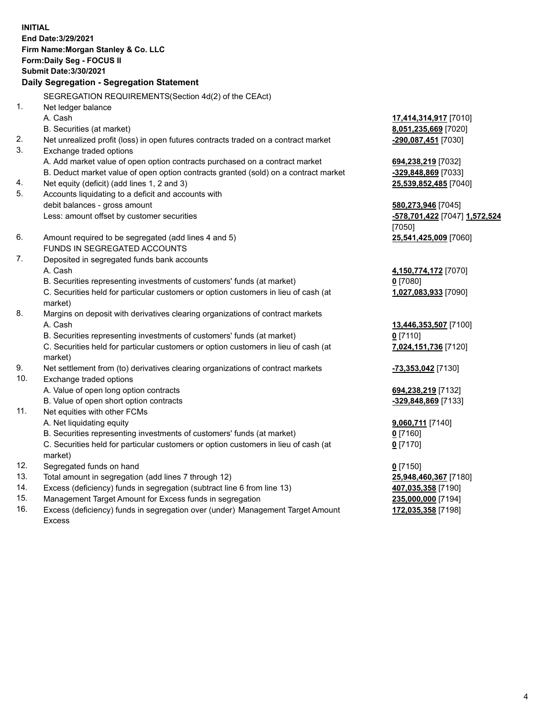**INITIAL End Date:3/29/2021 Firm Name:Morgan Stanley & Co. LLC Form:Daily Seg - FOCUS II Submit Date:3/30/2021 Daily Segregation - Segregation Statement** SEGREGATION REQUIREMENTS(Section 4d(2) of the CEAct) 1. Net ledger balance A. Cash **17,414,314,917** [7010] B. Securities (at market) **8,051,235,669** [7020] 2. Net unrealized profit (loss) in open futures contracts traded on a contract market **-290,087,451** [7030] 3. Exchange traded options A. Add market value of open option contracts purchased on a contract market **694,238,219** [7032] B. Deduct market value of open option contracts granted (sold) on a contract market **-329,848,869** [7033] 4. Net equity (deficit) (add lines 1, 2 and 3) **25,539,852,485** [7040] 5. Accounts liquidating to a deficit and accounts with debit balances - gross amount **580,273,946** [7045] Less: amount offset by customer securities **-578,701,422** [7047] **1,572,524** [7050] 6. Amount required to be segregated (add lines 4 and 5) **25,541,425,009** [7060] FUNDS IN SEGREGATED ACCOUNTS 7. Deposited in segregated funds bank accounts A. Cash **4,150,774,172** [7070] B. Securities representing investments of customers' funds (at market) **0** [7080] C. Securities held for particular customers or option customers in lieu of cash (at market) **1,027,083,933** [7090] 8. Margins on deposit with derivatives clearing organizations of contract markets A. Cash **13,446,353,507** [7100] B. Securities representing investments of customers' funds (at market) **0** [7110] C. Securities held for particular customers or option customers in lieu of cash (at market) **7,024,151,736** [7120] 9. Net settlement from (to) derivatives clearing organizations of contract markets **-73,353,042** [7130] 10. Exchange traded options A. Value of open long option contracts **694,238,219** [7132] B. Value of open short option contracts **-329,848,869** [7133] 11. Net equities with other FCMs A. Net liquidating equity **9,060,711** [7140] B. Securities representing investments of customers' funds (at market) **0** [7160] C. Securities held for particular customers or option customers in lieu of cash (at market) **0** [7170] 12. Segregated funds on hand **0** [7150] 13. Total amount in segregation (add lines 7 through 12) **25,948,460,367** [7180] 14. Excess (deficiency) funds in segregation (subtract line 6 from line 13) **407,035,358** [7190] 15. Management Target Amount for Excess funds in segregation **235,000,000** [7194]

16. Excess (deficiency) funds in segregation over (under) Management Target Amount Excess

**172,035,358** [7198]